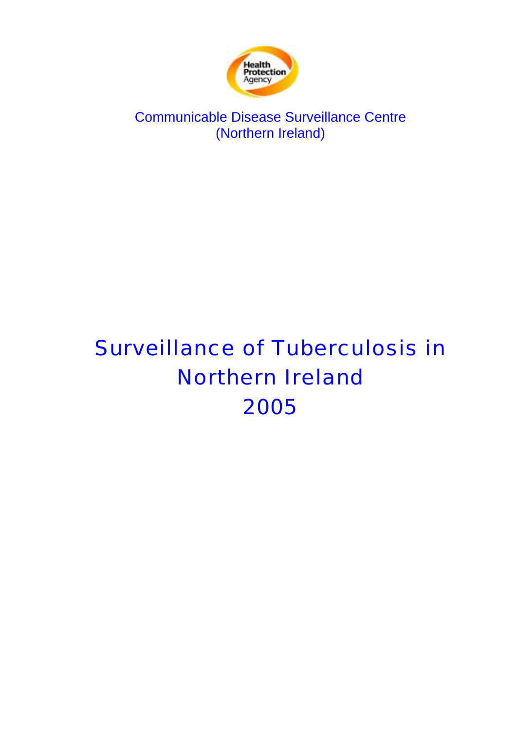

Communicable Disease Surveillance Centre (Northern Ireland)

# Surveillance of Tuberculosis in Northern Ireland 2005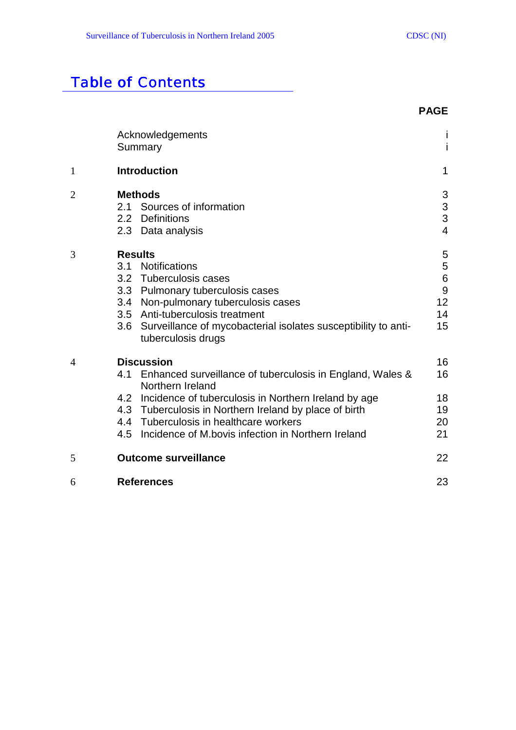# **Table of Contents**

|                |                                                                                                                                                                                                                                                                                                                                        | <b>PAGE</b>                                                            |
|----------------|----------------------------------------------------------------------------------------------------------------------------------------------------------------------------------------------------------------------------------------------------------------------------------------------------------------------------------------|------------------------------------------------------------------------|
|                | Acknowledgements<br>Summary                                                                                                                                                                                                                                                                                                            | T<br>İ                                                                 |
| 1              | <b>Introduction</b>                                                                                                                                                                                                                                                                                                                    | 1                                                                      |
| $\overline{2}$ | <b>Methods</b><br>2.1 Sources of information<br>2.2<br><b>Definitions</b><br>2.3 Data analysis                                                                                                                                                                                                                                         | 3<br>$\frac{3}{3}$<br>$\overline{4}$                                   |
| 3              | <b>Results</b><br><b>Notifications</b><br>3.1<br>3.2 Tuberculosis cases<br>3.3 Pulmonary tuberculosis cases<br>Non-pulmonary tuberculosis cases<br>3.4<br>3.5 Anti-tuberculosis treatment<br>Surveillance of mycobacterial isolates susceptibility to anti-<br>3.6<br>tuberculosis drugs                                               | 5<br>5<br>$\,$ 6 $\,$<br>$\overline{9}$<br>12 <sup>2</sup><br>14<br>15 |
| 4              | <b>Discussion</b><br>Enhanced surveillance of tuberculosis in England, Wales &<br>4.1<br>Northern Ireland<br>4.2 Incidence of tuberculosis in Northern Ireland by age<br>4.3 Tuberculosis in Northern Ireland by place of birth<br>4.4 Tuberculosis in healthcare workers<br>Incidence of M.bovis infection in Northern Ireland<br>4.5 | 16<br>16<br>18<br>19<br>20<br>21                                       |
| 5              | <b>Outcome surveillance</b>                                                                                                                                                                                                                                                                                                            | 22                                                                     |
| 6              | <b>References</b>                                                                                                                                                                                                                                                                                                                      | 23                                                                     |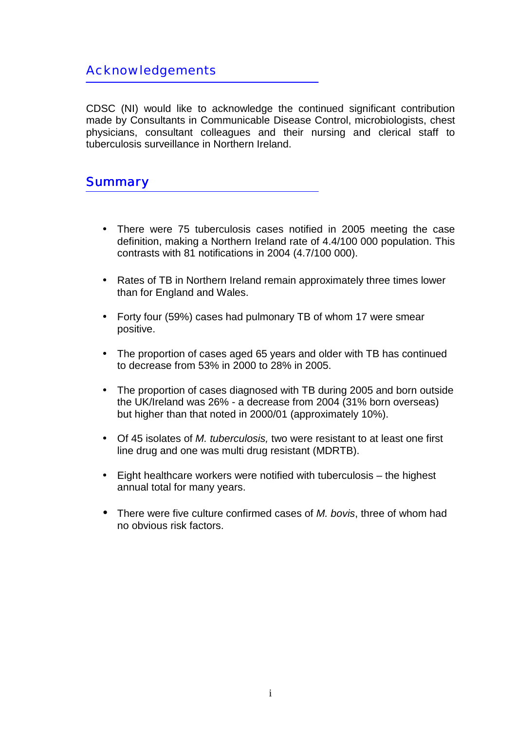Acknowledgements

CDSC (NI) would like to acknowledge the continued significant contribution made by Consultants in Communicable Disease Control, microbiologists, chest physicians, consultant colleagues and their nursing and clerical staff to tuberculosis surveillance in Northern Ireland.

# Summary

- There were 75 tuberculosis cases notified in 2005 meeting the case definition, making a Northern Ireland rate of 4.4/100 000 population. This contrasts with 81 notifications in 2004 (4.7/100 000).
- Rates of TB in Northern Ireland remain approximately three times lower than for England and Wales.
- Forty four (59%) cases had pulmonary TB of whom 17 were smear positive.
- The proportion of cases aged 65 years and older with TB has continued to decrease from 53% in 2000 to 28% in 2005.
- The proportion of cases diagnosed with TB during 2005 and born outside the UK/Ireland was 26% - a decrease from 2004 (31% born overseas) but higher than that noted in 2000/01 (approximately 10%).
- Of 45 isolates of *M. tuberculosis,* two were resistant to at least one first line drug and one was multi drug resistant (MDRTB).
- Eight healthcare workers were notified with tuberculosis the highest annual total for many years.
- There were five culture confirmed cases of *M. bovis*, three of whom had no obvious risk factors.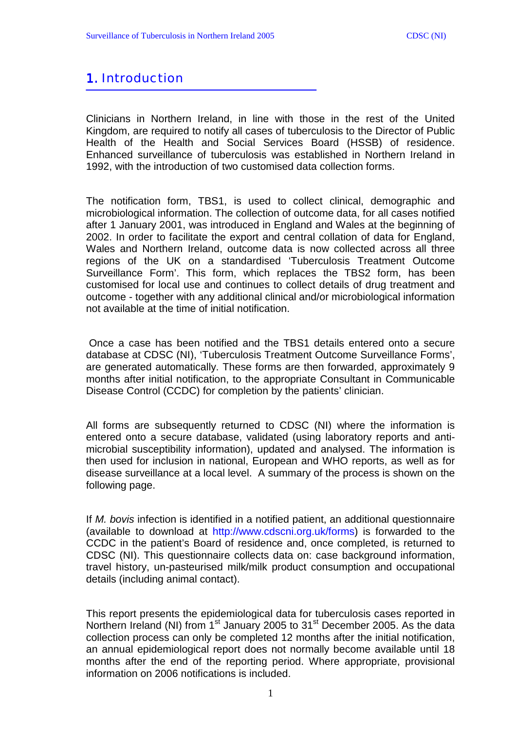# 1. Introduction

Clinicians in Northern Ireland, in line with those in the rest of the United Kingdom, are required to notify all cases of tuberculosis to the Director of Public Health of the Health and Social Services Board (HSSB) of residence. Enhanced surveillance of tuberculosis was established in Northern Ireland in 1992, with the introduction of two customised data collection forms.

The notification form, TBS1, is used to collect clinical, demographic and microbiological information. The collection of outcome data, for all cases notified after 1 January 2001, was introduced in England and Wales at the beginning of 2002. In order to facilitate the export and central collation of data for England, Wales and Northern Ireland, outcome data is now collected across all three regions of the UK on a standardised 'Tuberculosis Treatment Outcome Surveillance Form'. This form, which replaces the TBS2 form, has been customised for local use and continues to collect details of drug treatment and outcome - together with any additional clinical and/or microbiological information not available at the time of initial notification.

 Once a case has been notified and the TBS1 details entered onto a secure database at CDSC (NI), 'Tuberculosis Treatment Outcome Surveillance Forms', are generated automatically. These forms are then forwarded, approximately 9 months after initial notification, to the appropriate Consultant in Communicable Disease Control (CCDC) for completion by the patients' clinician.

All forms are subsequently returned to CDSC (NI) where the information is entered onto a secure database, validated (using laboratory reports and antimicrobial susceptibility information), updated and analysed. The information is then used for inclusion in national, European and WHO reports, as well as for disease surveillance at a local level. A summary of the process is shown on the following page.

If *M. bovis* infection is identified in a notified patient, an additional questionnaire (available to download at http://www.cdscni.org.uk/forms) is forwarded to the CCDC in the patient's Board of residence and, once completed, is returned to CDSC (NI). This questionnaire collects data on: case background information, travel history, un-pasteurised milk/milk product consumption and occupational details (including animal contact).

This report presents the epidemiological data for tuberculosis cases reported in Northern Ireland (NI) from 1<sup>st</sup> January 2005 to 31<sup>st</sup> December 2005. As the data collection process can only be completed 12 months after the initial notification, an annual epidemiological report does not normally become available until 18 months after the end of the reporting period. Where appropriate, provisional information on 2006 notifications is included.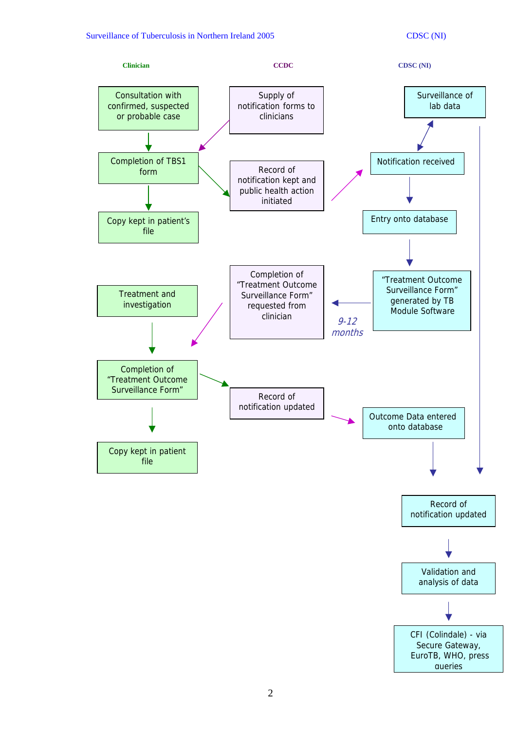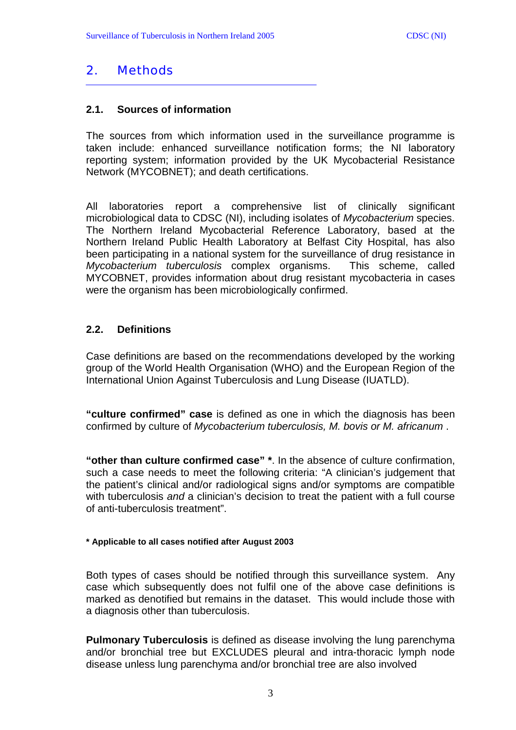## 2. Methods

#### **2.1. Sources of information**

The sources from which information used in the surveillance programme is taken include: enhanced surveillance notification forms; the NI laboratory reporting system; information provided by the UK Mycobacterial Resistance Network (MYCOBNET); and death certifications.

All laboratories report a comprehensive list of clinically significant microbiological data to CDSC (NI), including isolates of *Mycobacterium* species. The Northern Ireland Mycobacterial Reference Laboratory, based at the Northern Ireland Public Health Laboratory at Belfast City Hospital, has also been participating in a national system for the surveillance of drug resistance in *Mycobacterium tuberculosis* complex organisms. This scheme, called MYCOBNET, provides information about drug resistant mycobacteria in cases were the organism has been microbiologically confirmed.

#### **2.2. Definitions**

Case definitions are based on the recommendations developed by the working group of the World Health Organisation (WHO) and the European Region of the International Union Against Tuberculosis and Lung Disease (IUATLD).

**"culture confirmed" case** is defined as one in which the diagnosis has been confirmed by culture of *Mycobacterium tuberculosis, M. bovis or M. africanum* .

**"other than culture confirmed case" \***. In the absence of culture confirmation, such a case needs to meet the following criteria: "A clinician's judgement that the patient's clinical and/or radiological signs and/or symptoms are compatible with tuberculosis *and* a clinician's decision to treat the patient with a full course of anti-tuberculosis treatment".

#### **\* Applicable to all cases notified after August 2003**

Both types of cases should be notified through this surveillance system. Any case which subsequently does not fulfil one of the above case definitions is marked as denotified but remains in the dataset. This would include those with a diagnosis other than tuberculosis.

**Pulmonary Tuberculosis** is defined as disease involving the lung parenchyma and/or bronchial tree but EXCLUDES pleural and intra-thoracic lymph node disease unless lung parenchyma and/or bronchial tree are also involved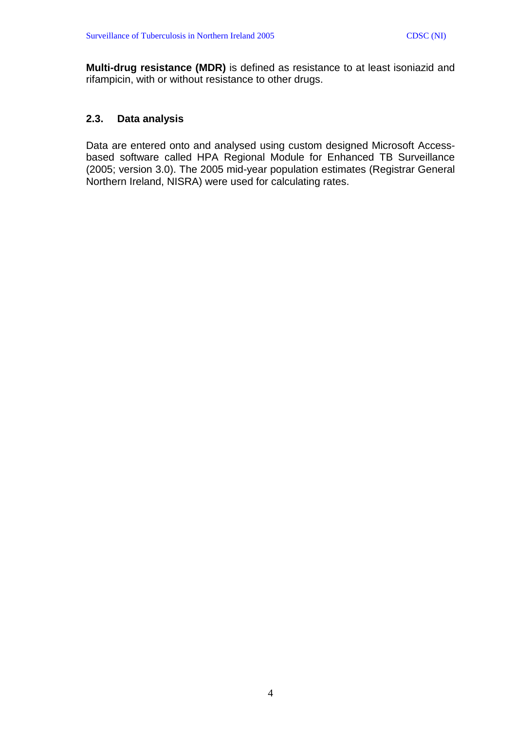**Multi-drug resistance (MDR)** is defined as resistance to at least isoniazid and rifampicin, with or without resistance to other drugs.

#### **2.3. Data analysis**

Data are entered onto and analysed using custom designed Microsoft Accessbased software called HPA Regional Module for Enhanced TB Surveillance (2005; version 3.0). The 2005 mid-year population estimates (Registrar General Northern Ireland, NISRA) were used for calculating rates.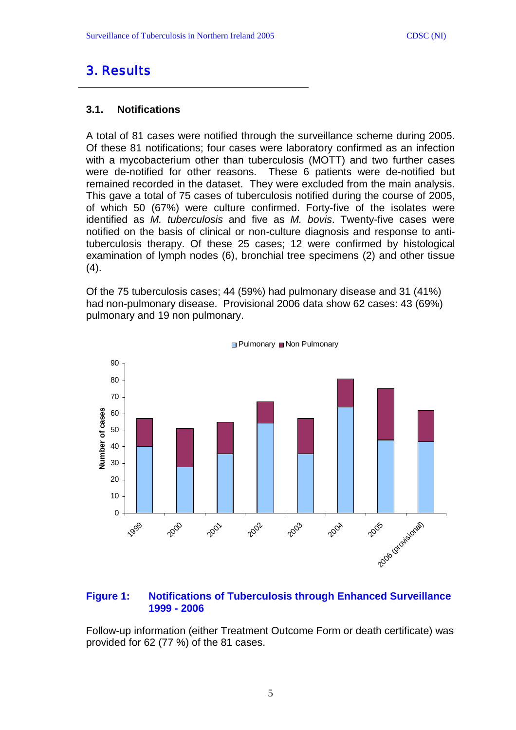# 3. Results

#### **3.1. Notifications**

A total of 81 cases were notified through the surveillance scheme during 2005. Of these 81 notifications; four cases were laboratory confirmed as an infection with a mycobacterium other than tuberculosis (MOTT) and two further cases were de-notified for other reasons.These 6 patients were de-notified but remained recorded in the dataset.They were excluded from the main analysis. This gave a total of 75 cases of tuberculosis notified during the course of 2005, of which 50 (67%) were culture confirmed. Forty-five of the isolates were identified as *M. tuberculosis* and five as *M. bovis*. Twenty-five cases were notified on the basis of clinical or non-culture diagnosis and response to antituberculosis therapy. Of these 25 cases; 12 were confirmed by histological examination of lymph nodes (6), bronchial tree specimens (2) and other tissue  $(4).$ 

Of the 75 tuberculosis cases; 44 (59%) had pulmonary disease and 31 (41%) had non-pulmonary disease. Provisional 2006 data show 62 cases: 43 (69%) pulmonary and 19 non pulmonary.



#### **Figure 1: Notifications of Tuberculosis through Enhanced Surveillance 1999 - 2006**

Follow-up information (either Treatment Outcome Form or death certificate) was provided for 62 (77 %) of the 81 cases.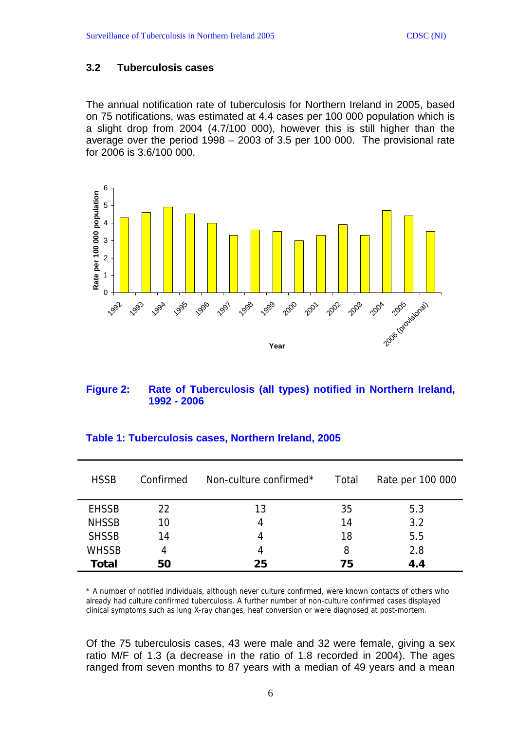#### **3.2 Tuberculosis cases**

The annual notification rate of tuberculosis for Northern Ireland in 2005, based on 75 notifications, was estimated at 4.4 cases per 100 000 population which is a slight drop from 2004 (4.7/100 000), however this is still higher than the average over the period 1998 – 2003 of 3.5 per 100 000. The provisional rate for 2006 is 3.6/100 000.



#### **Figure 2: Rate of Tuberculosis (all types) notified in Northern Ireland, 1992 - 2006**

| <b>HSSB</b>  | Confirmed | Non-culture confirmed* | Total | Rate per 100 000 |
|--------------|-----------|------------------------|-------|------------------|
| <b>EHSSB</b> | 22        | 13                     | 35    | 5.3              |
| <b>NHSSB</b> | 10        | 4                      | 14    | 3.2              |
| <b>SHSSB</b> | 14        | 4                      | 18    | 5.5              |
| <b>WHSSB</b> | 4         | 4                      | 8     | 2.8              |
| <b>Total</b> | 50        | 25                     | 75    | 4.4              |

#### **Table 1: Tuberculosis cases, Northern Ireland, 2005**

\* A number of notified individuals, although never culture confirmed, were known contacts of others who already had culture confirmed tuberculosis. A further number of non-culture confirmed cases displayed clinical symptoms such as lung X-ray changes, heaf conversion or were diagnosed at post-mortem.

Of the 75 tuberculosis cases, 43 were male and 32 were female, giving a sex ratio M/F of 1.3 (a decrease in the ratio of 1.8 recorded in 2004). The ages ranged from seven months to 87 years with a median of 49 years and a mean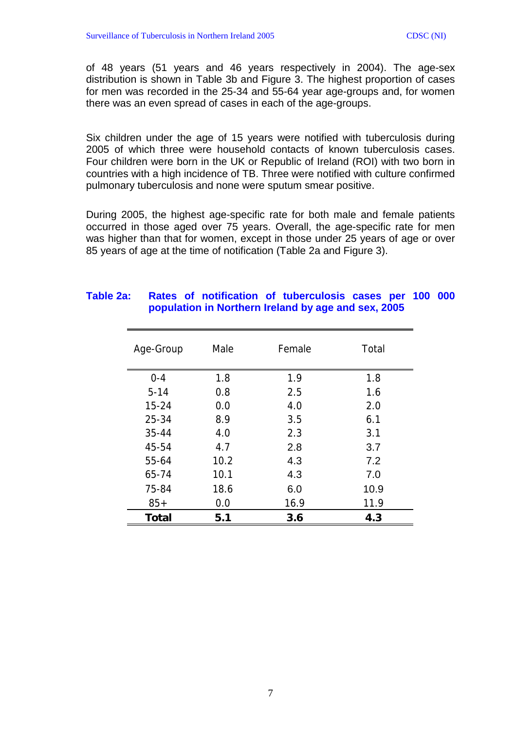of 48 years (51 years and 46 years respectively in 2004). The age-sex distribution is shown in Table 3b and Figure 3. The highest proportion of cases for men was recorded in the 25-34 and 55-64 year age-groups and, for women there was an even spread of cases in each of the age-groups.

Six children under the age of 15 years were notified with tuberculosis during 2005 of which three were household contacts of known tuberculosis cases. Four children were born in the UK or Republic of Ireland (ROI) with two born in countries with a high incidence of TB. Three were notified with culture confirmed pulmonary tuberculosis and none were sputum smear positive.

During 2005, the highest age-specific rate for both male and female patients occurred in those aged over 75 years. Overall, the age-specific rate for men was higher than that for women, except in those under 25 years of age or over 85 years of age at the time of notification (Table 2a and Figure 3).

| Age-Group    | Male | Female | Total |
|--------------|------|--------|-------|
| $0 - 4$      | 1.8  | 1.9    | 1.8   |
| $5 - 14$     | 0.8  | 2.5    | 1.6   |
| $15 - 24$    | 0.0  | 4.0    | 2.0   |
| 25-34        | 8.9  | 3.5    | 6.1   |
| $35 - 44$    | 4.0  | 2.3    | 3.1   |
| 45-54        | 4.7  | 2.8    | 3.7   |
| 55-64        | 10.2 | 4.3    | 7.2   |
| 65-74        | 10.1 | 4.3    | 7.0   |
| 75-84        | 18.6 | 6.0    | 10.9  |
| $85+$        | 0.0  | 16.9   | 11.9  |
| <b>Total</b> | 5.1  | 3.6    | 4.3   |

#### **Table 2a: Rates of notification of tuberculosis cases per 100 000 population in Northern Ireland by age and sex, 2005**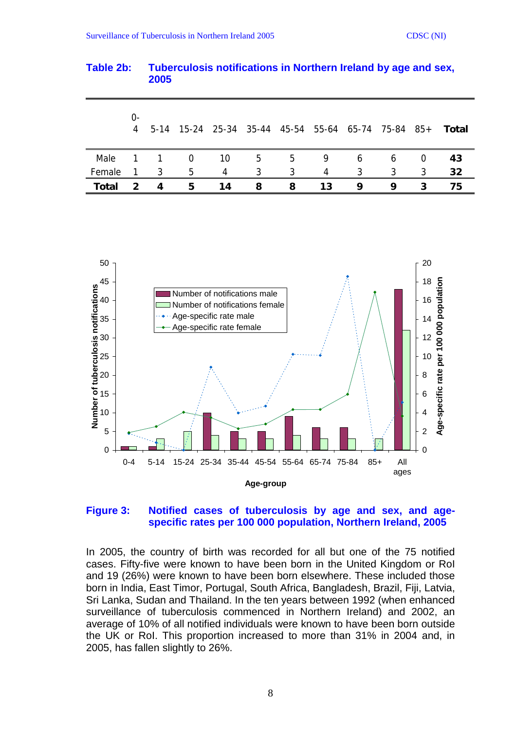|        | $0-$<br>4     |   |   |    |   |   |    | 5-14 15-24 25-34 35-44 45-54 55-64 65-74 75-84 85+ |   |   | Total |
|--------|---------------|---|---|----|---|---|----|----------------------------------------------------|---|---|-------|
| Male   |               |   | 0 | 10 | 5 | 5 | 9  | 6                                                  | 6 | 0 | 43    |
| Female |               | 3 | 5 | 4  | 3 | 3 | 4  | 3                                                  | 3 | 3 | 32    |
| Total  | $\mathcal{P}$ | 4 | 5 | 14 | 8 | 8 | 13 | 9                                                  | 9 | 3 | 75    |

**Table 2b: Tuberculosis notifications in Northern Ireland by age and sex, 2005** 



#### **Figure 3: Notified cases of tuberculosis by age and sex, and agespecific rates per 100 000 population, Northern Ireland, 2005**

In 2005, the country of birth was recorded for all but one of the 75 notified cases. Fifty-five were known to have been born in the United Kingdom or RoI and 19 (26%) were known to have been born elsewhere. These included those born in India, East Timor, Portugal, South Africa, Bangladesh, Brazil, Fiji, Latvia, Sri Lanka, Sudan and Thailand. In the ten years between 1992 (when enhanced surveillance of tuberculosis commenced in Northern Ireland) and 2002, an average of 10% of all notified individuals were known to have been born outside the UK or RoI. This proportion increased to more than 31% in 2004 and, in 2005, has fallen slightly to 26%.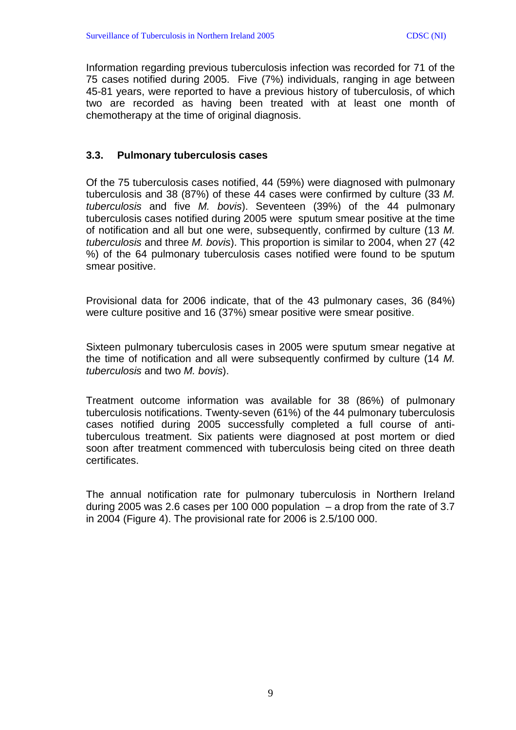Information regarding previous tuberculosis infection was recorded for 71 of the 75 cases notified during 2005. Five (7%) individuals, ranging in age between 45-81 years, were reported to have a previous history of tuberculosis, of which two are recorded as having been treated with at least one month of chemotherapy at the time of original diagnosis.

#### **3.3. Pulmonary tuberculosis cases**

Of the 75 tuberculosis cases notified, 44 (59%) were diagnosed with pulmonary tuberculosis and 38 (87%) of these 44 cases were confirmed by culture (33 *M. tuberculosis* and five *M. bovis*). Seventeen (39%) of the 44 pulmonary tuberculosis cases notified during 2005 were sputum smear positive at the time of notification and all but one were, subsequently, confirmed by culture (13 *M. tuberculosis* and three *M. bovis*). This proportion is similar to 2004, when 27 (42 %) of the 64 pulmonary tuberculosis cases notified were found to be sputum smear positive.

Provisional data for 2006 indicate, that of the 43 pulmonary cases, 36 (84%) were culture positive and 16 (37%) smear positive were smear positive.

Sixteen pulmonary tuberculosis cases in 2005 were sputum smear negative at the time of notification and all were subsequently confirmed by culture (14 *M. tuberculosis* and two *M. bovis*).

Treatment outcome information was available for 38 (86%) of pulmonary tuberculosis notifications. Twenty-seven (61%) of the 44 pulmonary tuberculosis cases notified during 2005 successfully completed a full course of antituberculous treatment. Six patients were diagnosed at post mortem or died soon after treatment commenced with tuberculosis being cited on three death certificates.

The annual notification rate for pulmonary tuberculosis in Northern Ireland during 2005 was 2.6 cases per 100 000 population  $-$  a drop from the rate of 3.7 in 2004 (Figure 4). The provisional rate for 2006 is 2.5/100 000.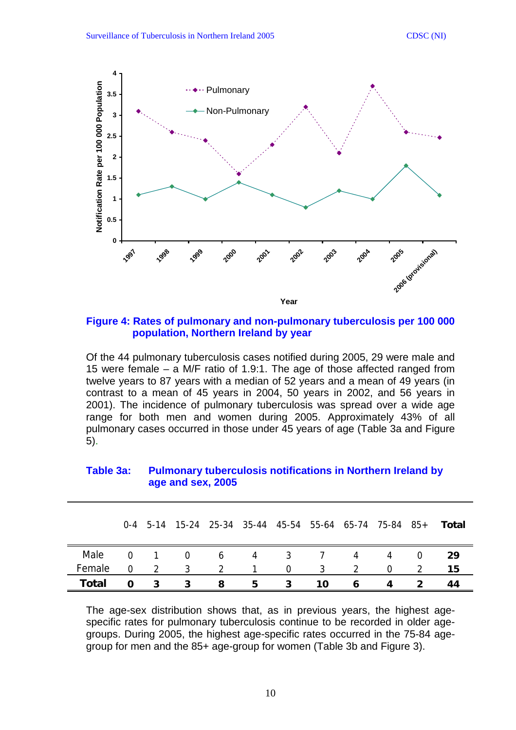

#### **Figure 4: Rates of pulmonary and non-pulmonary tuberculosis per 100 000 population, Northern Ireland by year**

Of the 44 pulmonary tuberculosis cases notified during 2005, 29 were male and 15 were female – a M/F ratio of 1.9:1. The age of those affected ranged from twelve years to 87 years with a median of 52 years and a mean of 49 years (in contrast to a mean of 45 years in 2004, 50 years in 2002, and 56 years in 2001). The incidence of pulmonary tuberculosis was spread over a wide age range for both men and women during 2005. Approximately 43% of all pulmonary cases occurred in those under 45 years of age (Table 3a and Figure 5).

|        |          |               |          |                 |              | $0-4$ 5-14 15-24 25-34 35-44 45-54 55-64 65-74 75-84 85+ |            |               |          |          | Total |
|--------|----------|---------------|----------|-----------------|--------------|----------------------------------------------------------|------------|---------------|----------|----------|-------|
| Male   | $\Omega$ |               | $\Omega$ | $6\overline{6}$ |              | 4 3                                                      | $\sqrt{2}$ | 4             | 4        | $\Omega$ | 29    |
| Female | $\Omega$ | $\mathcal{L}$ | -3       | $\mathcal{L}$   | $\mathbf{1}$ | $\Omega$                                                 | 3          | $\mathcal{L}$ | $\Omega$ |          | 15    |
| Total  | O        |               | 3        | 8               | 5            | $\overline{\mathbf{3}}$                                  | 10.        | 6             | 4        |          | 44    |

#### **Table 3a: Pulmonary tuberculosis notifications in Northern Ireland by age and sex, 2005**

The age-sex distribution shows that, as in previous years, the highest agespecific rates for pulmonary tuberculosis continue to be recorded in older agegroups. During 2005, the highest age-specific rates occurred in the 75-84 agegroup for men and the 85+ age-group for women (Table 3b and Figure 3).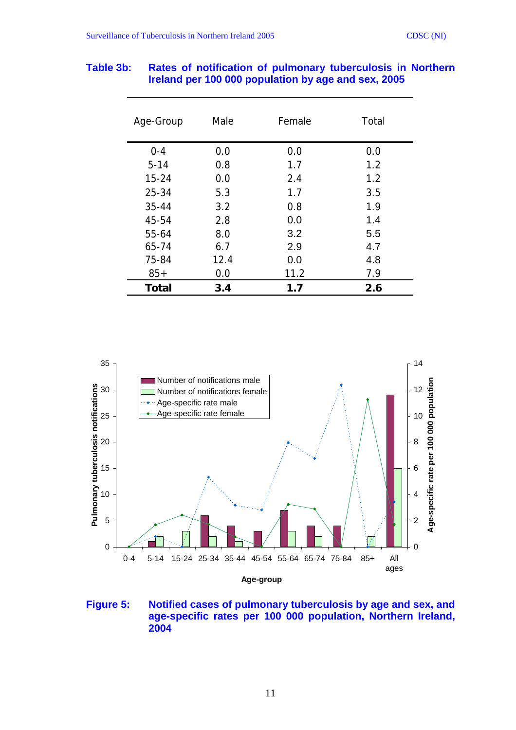| Age-Group    | Male | Female | Total |
|--------------|------|--------|-------|
| $0 - 4$      | 0.0  | 0.0    | 0.0   |
| $5 - 14$     | 0.8  | 1.7    | 1.2   |
| $15 - 24$    | 0.0  | 2.4    | 1.2   |
| 25-34        | 5.3  | 1.7    | 3.5   |
| $35 - 44$    | 3.2  | 0.8    | 1.9   |
| 45-54        | 2.8  | 0.0    | 1.4   |
| 55-64        | 8.0  | 3.2    | 5.5   |
| 65-74        | 6.7  | 2.9    | 4.7   |
| 75-84        | 12.4 | 0.0    | 4.8   |
| $85+$        | 0.0  | 11.2   | 7.9   |
| <b>Total</b> | 3.4  | 1.7    | 2.6   |

#### **Table 3b: Rates of notification of pulmonary tuberculosis in Northern Ireland per 100 000 population by age and sex, 2005**



#### **Figure 5: Notified cases of pulmonary tuberculosis by age and sex, and age-specific rates per 100 000 population, Northern Ireland, 2004**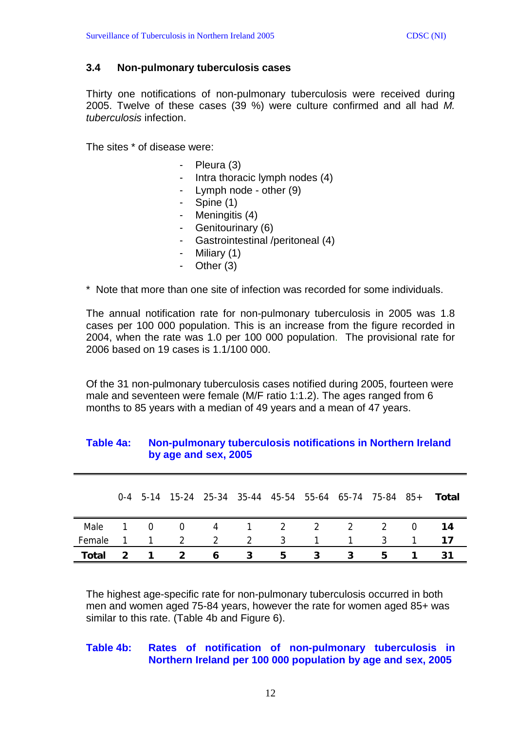#### **3.4 Non-pulmonary tuberculosis cases**

Thirty one notifications of non-pulmonary tuberculosis were received during 2005. Twelve of these cases (39 %) were culture confirmed and all had *M. tuberculosis* infection.

The sites \* of disease were:

- Pleura (3)
- Intra thoracic lymph nodes (4)
- Lymph node other (9)
- Spine (1)
- Meningitis (4)
- Genitourinary (6)
- Gastrointestinal /peritoneal (4)
- Miliary (1)
- Other (3)
- \* Note that more than one site of infection was recorded for some individuals.

The annual notification rate for non-pulmonary tuberculosis in 2005 was 1.8 cases per 100 000 population. This is an increase from the figure recorded in 2004, when the rate was 1.0 per 100 000 population. The provisional rate for 2006 based on 19 cases is 1.1/100 000.

Of the 31 non-pulmonary tuberculosis cases notified during 2005, fourteen were male and seventeen were female (M/F ratio 1:1.2). The ages ranged from 6 months to 85 years with a median of 49 years and a mean of 47 years.

|        |               |     |                |               |               |     |                | $0-4$ 5-14 15-24 25-34 35-44 45-54 55-64 65-74 75-84 85+ |   |          | Total |
|--------|---------------|-----|----------------|---------------|---------------|-----|----------------|----------------------------------------------------------|---|----------|-------|
| Male   |               | - 0 | - 0            |               | 4 1 2         |     | $\overline{2}$ | $\overline{2}$                                           | 2 | $\Omega$ | 14    |
| Female |               |     | $\mathcal{D}$  | $\mathcal{P}$ | $\mathcal{P}$ | - 3 |                |                                                          | ર |          | 17    |
| Total  | $\mathcal{P}$ |     | $\overline{2}$ | 6             | - 3           | 5.  | 3              | 3                                                        | 5 |          | 31    |

#### **Table 4a: Non-pulmonary tuberculosis notifications in Northern Ireland by age and sex, 2005**

The highest age-specific rate for non-pulmonary tuberculosis occurred in both men and women aged 75-84 years, however the rate for women aged 85+ was similar to this rate. (Table 4b and Figure 6).

#### **Table 4b: Rates of notification of non-pulmonary tuberculosis in Northern Ireland per 100 000 population by age and sex, 2005**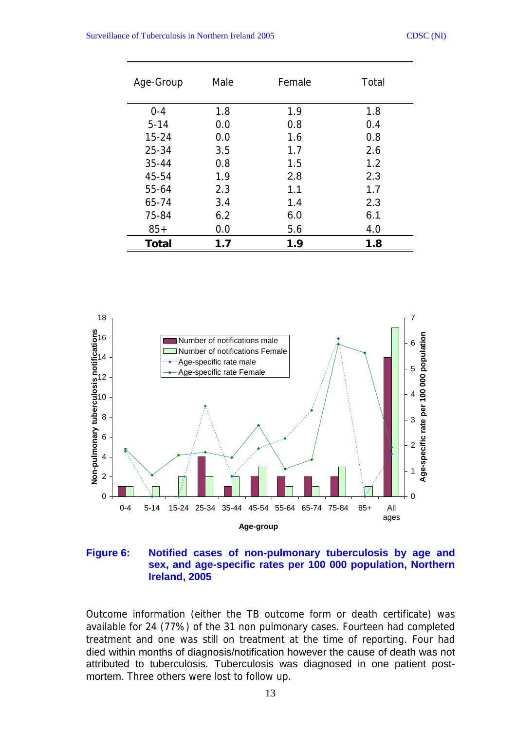| Surveillance of Tuberculosis in Northern Ireland 2005 |  |  |
|-------------------------------------------------------|--|--|
|                                                       |  |  |

| Age-Group | Male | Female | Total |
|-----------|------|--------|-------|
| $0 - 4$   | 1.8  | 1.9    | 1.8   |
| $5 - 14$  | 0.0  | 0.8    | 0.4   |
| $15 - 24$ | 0.0  | 1.6    | 0.8   |
| 25-34     | 3.5  | 1.7    | 2.6   |
| 35-44     | 0.8  | 1.5    | 1.2   |
| 45-54     | 1.9  | 2.8    | 2.3   |
| 55-64     | 2.3  | 1.1    | 1.7   |
| 65-74     | 3.4  | 1.4    | 2.3   |
| 75-84     | 6.2  | 6.0    | 6.1   |
| $85+$     | 0.0  | 5.6    | 4.0   |
| Total     | 1.7  | 1.9    | 1.8   |



**Figure 6: Notified cases of non-pulmonary tuberculosis by age and sex, and age-specific rates per 100 000 population, Northern Ireland, 2005** 

Outcome information (either the TB outcome form or death certificate) was available for 24 (77%) of the 31 non pulmonary cases. Fourteen had completed treatment and one was still on treatment at the time of reporting. Four had died within months of diagnosis/notification however the cause of death was not attributed to tuberculosis. Tuberculosis was diagnosed in one patient postmortem. Three others were lost to follow up.

CDSC (NI)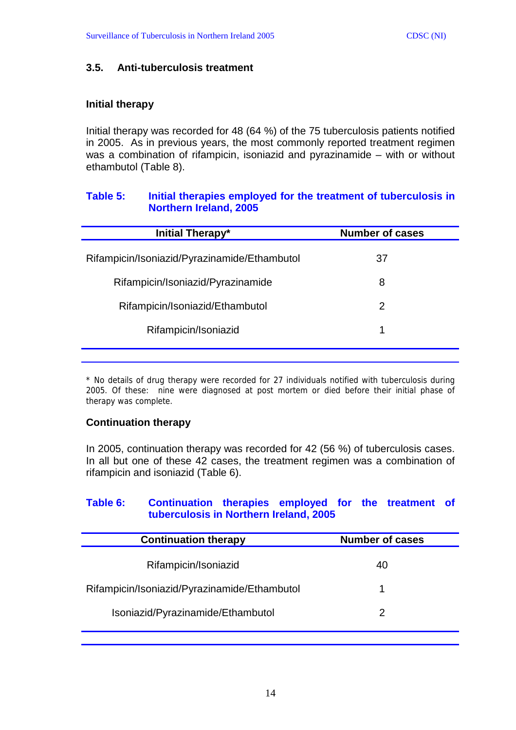#### **3.5. Anti-tuberculosis treatment**

#### **Initial therapy**

Initial therapy was recorded for 48 (64 %) of the 75 tuberculosis patients notified in 2005. As in previous years, the most commonly reported treatment regimen was a combination of rifampicin, isoniazid and pyrazinamide – with or without ethambutol (Table 8).

#### **Table 5: Initial therapies employed for the treatment of tuberculosis in Northern Ireland, 2005**

| Initial Therapy*                             | <b>Number of cases</b> |
|----------------------------------------------|------------------------|
| Rifampicin/Isoniazid/Pyrazinamide/Ethambutol | 37                     |
| Rifampicin/Isoniazid/Pyrazinamide            | 8                      |
| Rifampicin/Isoniazid/Ethambutol              | 2                      |
| Rifampicin/Isoniazid                         | 1                      |
|                                              |                        |

\* No details of drug therapy were recorded for 27 individuals notified with tuberculosis during 2005. Of these: nine were diagnosed at post mortem or died before their initial phase of therapy was complete.

#### **Continuation therapy**

In 2005, continuation therapy was recorded for 42 (56 %) of tuberculosis cases. In all but one of these 42 cases, the treatment regimen was a combination of rifampicin and isoniazid (Table 6).

#### **Table 6: Continuation therapies employed for the treatment of tuberculosis in Northern Ireland, 2005**

| <b>Continuation therapy</b>                  | <b>Number of cases</b> |
|----------------------------------------------|------------------------|
| Rifampicin/Isoniazid                         | 40                     |
| Rifampicin/Isoniazid/Pyrazinamide/Ethambutol | 1                      |
| Isoniazid/Pyrazinamide/Ethambutol            |                        |
|                                              |                        |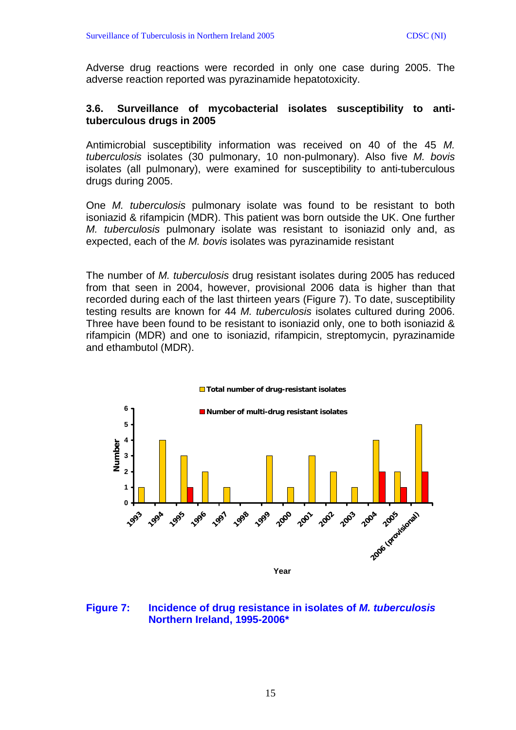Adverse drug reactions were recorded in only one case during 2005. The adverse reaction reported was pyrazinamide hepatotoxicity.

#### **3.6. Surveillance of mycobacterial isolates susceptibility to antituberculous drugs in 2005**

Antimicrobial susceptibility information was received on 40 of the 45 *M. tuberculosis* isolates (30 pulmonary, 10 non-pulmonary). Also five *M. bovis* isolates (all pulmonary), were examined for susceptibility to anti-tuberculous drugs during 2005.

One *M. tuberculosis* pulmonary isolate was found to be resistant to both isoniazid & rifampicin (MDR). This patient was born outside the UK. One further *M. tuberculosis* pulmonary isolate was resistant to isoniazid only and, as expected, each of the *M. bovis* isolates was pyrazinamide resistant

The number of *M. tuberculosis* drug resistant isolates during 2005 has reduced from that seen in 2004, however, provisional 2006 data is higher than that recorded during each of the last thirteen years (Figure 7). To date, susceptibility testing results are known for 44 *M. tuberculosis* isolates cultured during 2006. Three have been found to be resistant to isoniazid only, one to both isoniazid & rifampicin (MDR) and one to isoniazid, rifampicin, streptomycin, pyrazinamide and ethambutol (MDR).



#### **Figure 7: Incidence of drug resistance in isolates of** *M. tuberculosis* **Northern Ireland, 1995-2006\***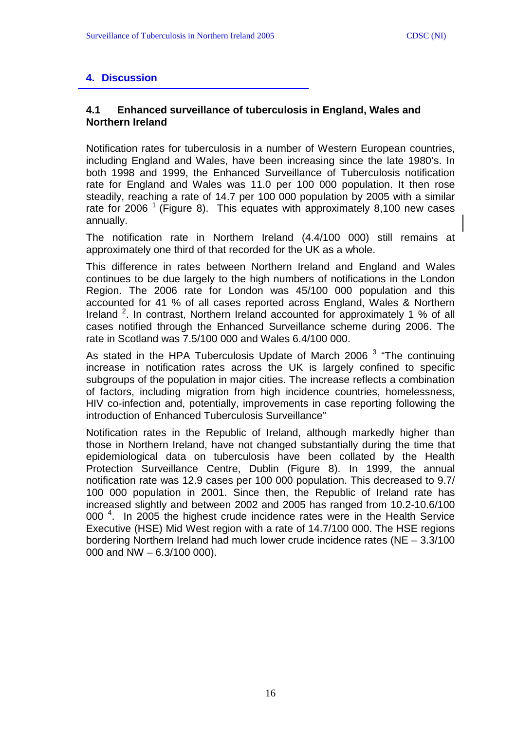### **4. Discussion**

#### **4.1 Enhanced surveillance of tuberculosis in England, Wales and Northern Ireland**

Notification rates for tuberculosis in a number of Western European countries, including England and Wales, have been increasing since the late 1980's. In both 1998 and 1999, the Enhanced Surveillance of Tuberculosis notification rate for England and Wales was 11.0 per 100 000 population. It then rose steadily, reaching a rate of 14.7 per 100 000 population by 2005 with a similar rate for 2006<sup> $1$ </sup> (Figure 8). This equates with approximately 8,100 new cases annually.

The notification rate in Northern Ireland (4.4/100 000) still remains at approximately one third of that recorded for the UK as a whole.

This difference in rates between Northern Ireland and England and Wales continues to be due largely to the high numbers of notifications in the London Region. The 2006 rate for London was 45/100 000 population and this accounted for 41 % of all cases reported across England, Wales & Northern Ireland<sup>2</sup>. In contrast, Northern Ireland accounted for approximately 1 % of all cases notified through the Enhanced Surveillance scheme during 2006. The rate in Scotland was 7.5/100 000 and Wales 6.4/100 000.

As stated in the HPA Tuberculosis Update of March 2006<sup>3</sup> "The continuing increase in notification rates across the UK is largely confined to specific subgroups of the population in major cities. The increase reflects a combination of factors, including migration from high incidence countries, homelessness, HIV co-infection and, potentially, improvements in case reporting following the introduction of Enhanced Tuberculosis Surveillance"

Notification rates in the Republic of Ireland, although markedly higher than those in Northern Ireland, have not changed substantially during the time that epidemiological data on tuberculosis have been collated by the Health Protection Surveillance Centre, Dublin (Figure 8). In 1999, the annual notification rate was 12.9 cases per 100 000 population. This decreased to 9.7/ 100 000 population in 2001. Since then, the Republic of Ireland rate has increased slightly and between 2002 and 2005 has ranged from 10.2-10.6/100 000<sup>4</sup>. In 2005 the highest crude incidence rates were in the Health Service Executive (HSE) Mid West region with a rate of 14.7/100 000. The HSE regions bordering Northern Ireland had much lower crude incidence rates (NE – 3.3/100 000 and NW – 6.3/100 000).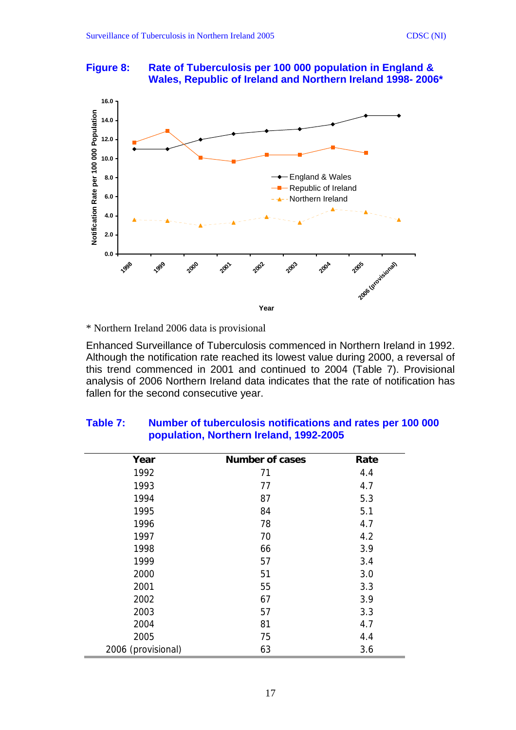#### **Figure 8: Rate of Tuberculosis per 100 000 population in England & Wales, Republic of Ireland and Northern Ireland 1998- 2006\***



\* Northern Ireland 2006 data is provisional

Enhanced Surveillance of Tuberculosis commenced in Northern Ireland in 1992. Although the notification rate reached its lowest value during 2000, a reversal of this trend commenced in 2001 and continued to 2004 (Table 7). Provisional analysis of 2006 Northern Ireland data indicates that the rate of notification has fallen for the second consecutive year.

| Year               | Number of cases | Rate |
|--------------------|-----------------|------|
| 1992               | 71              | 4.4  |
| 1993               | 77              | 4.7  |
| 1994               | 87              | 5.3  |
| 1995               | 84              | 5.1  |
| 1996               | 78              | 4.7  |
| 1997               | 70              | 4.2  |
| 1998               | 66              | 3.9  |
| 1999               | 57              | 3.4  |
| 2000               | 51              | 3.0  |
| 2001               | 55              | 3.3  |
| 2002               | 67              | 3.9  |
| 2003               | 57              | 3.3  |
| 2004               | 81              | 4.7  |
| 2005               | 75              | 4.4  |
| 2006 (provisional) | 63              | 3.6  |

#### **Table 7: Number of tuberculosis notifications and rates per 100 000 population, Northern Ireland, 1992-2005**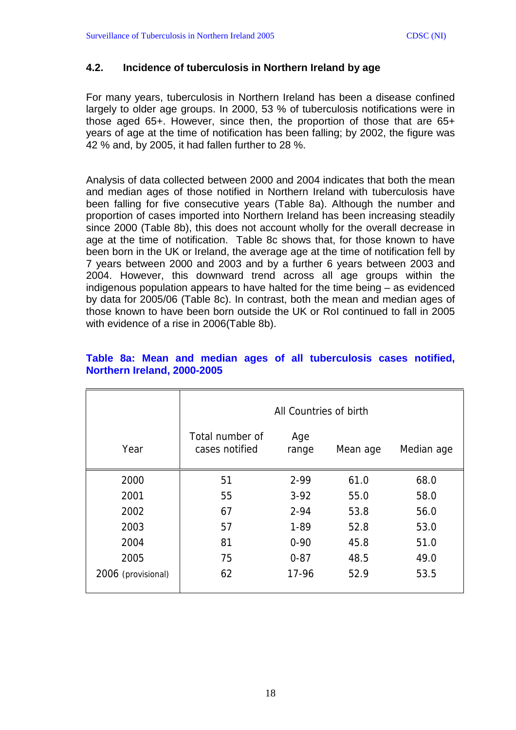#### **4.2. Incidence of tuberculosis in Northern Ireland by age**

For many years, tuberculosis in Northern Ireland has been a disease confined largely to older age groups. In 2000, 53 % of tuberculosis notifications were in those aged 65+. However, since then, the proportion of those that are 65+ years of age at the time of notification has been falling; by 2002, the figure was 42 % and, by 2005, it had fallen further to 28 %.

Analysis of data collected between 2000 and 2004 indicates that both the mean and median ages of those notified in Northern Ireland with tuberculosis have been falling for five consecutive years (Table 8a). Although the number and proportion of cases imported into Northern Ireland has been increasing steadily since 2000 (Table 8b), this does not account wholly for the overall decrease in age at the time of notification.Table 8c shows that, for those known to have been born in the UK or Ireland, the average age at the time of notification fell by 7 years between 2000 and 2003 and by a further 6 years between 2003 and 2004. However, this downward trend across all age groups within the indigenous population appears to have halted for the time being – as evidenced by data for 2005/06 (Table 8c). In contrast, both the mean and median ages of those known to have been born outside the UK or RoI continued to fall in 2005 with evidence of a rise in 2006(Table 8b).

|                    | All Countries of birth            |              |          |            |  |  |
|--------------------|-----------------------------------|--------------|----------|------------|--|--|
| Year               | Total number of<br>cases notified | Age<br>range | Mean age | Median age |  |  |
| 2000               | 51                                | $2 - 99$     | 61.0     | 68.0       |  |  |
| 2001               | 55                                | $3-92$       | 55.0     | 58.0       |  |  |
| 2002               | 67                                | $2 - 94$     | 53.8     | 56.0       |  |  |
| 2003               | 57                                | $1 - 89$     | 52.8     | 53.0       |  |  |
| 2004               | 81                                | $0 - 90$     | 45.8     | 51.0       |  |  |
| 2005               | 75                                | $0 - 87$     | 48.5     | 49.0       |  |  |
| 2006 (provisional) | 62                                | 17-96        | 52.9     | 53.5       |  |  |

#### **Table 8a: Mean and median ages of all tuberculosis cases notified, Northern Ireland, 2000-2005**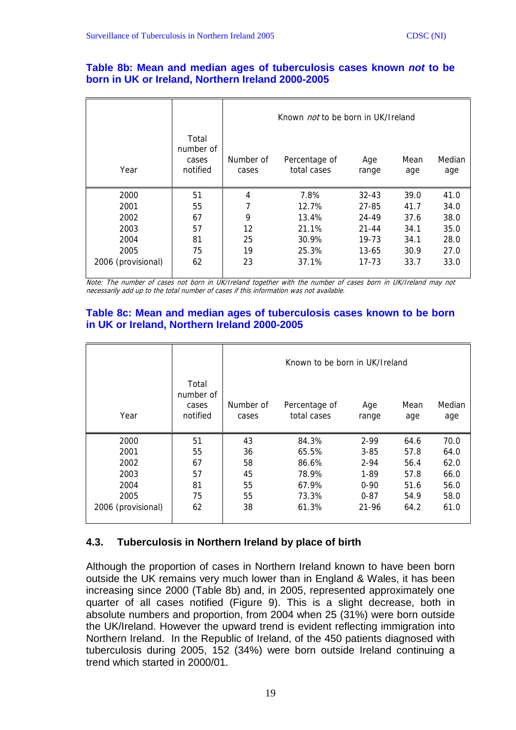#### **Table 8b: Mean and median ages of tuberculosis cases known** *not* **to be born in UK or Ireland, Northern Ireland 2000-2005**

|                    |                                         | Known <i>not</i> to be born in UK/Ireland |                              |              |             |               |  |
|--------------------|-----------------------------------------|-------------------------------------------|------------------------------|--------------|-------------|---------------|--|
| Year               | Total<br>number of<br>cases<br>notified | Number of<br>cases                        | Percentage of<br>total cases | Age<br>range | Mean<br>age | Median<br>age |  |
| 2000               | 51                                      | 4                                         | 7.8%                         | $32 - 43$    | 39.0        | 41.0          |  |
| 2001               | 55                                      |                                           | 12.7%                        | 27-85        | 41.7        | 34.0          |  |
| 2002               | 67                                      | 9                                         | 13.4%                        | 24-49        | 37.6        | 38.0          |  |
| 2003               | 57                                      | 12                                        | 21.1%                        | $21 - 44$    | 34.1        | 35.0          |  |
| 2004               | 81                                      | 25                                        | 30.9%                        | $19 - 73$    | 34.1        | 28.0          |  |
| 2005               | 75                                      | 19                                        | 25.3%                        | $13 - 65$    | 30.9        | 27.0          |  |
| 2006 (provisional) | 62                                      | 23                                        | 37.1%                        | $17 - 73$    | 33.7        | 33.0          |  |

Note: The number of cases not born in UK/Ireland together with the number of cases born in UK/Ireland may not necessarily add up to the total number of cases if this information was not available.

#### **Table 8c: Mean and median ages of tuberculosis cases known to be born in UK or Ireland, Northern Ireland 2000-2005**

|                    |                                         | Known to be born in UK/Ireland |                              |              |             |               |  |
|--------------------|-----------------------------------------|--------------------------------|------------------------------|--------------|-------------|---------------|--|
| Year               | Total<br>number of<br>cases<br>notified | Number of<br>cases             | Percentage of<br>total cases | Age<br>range | Mean<br>age | Median<br>age |  |
| 2000               | 51                                      | 43                             | 84.3%                        | 2-99         | 64.6        | 70.0          |  |
| 2001               | 55                                      | 36                             | 65.5%                        | $3 - 85$     | 57.8        | 64.0          |  |
| 2002               | 67                                      | 58                             | 86.6%                        | $2 - 94$     | 56.4        | 62.0          |  |
| 2003               | 57                                      | 45                             | 78.9%                        | $1 - 89$     | 57.8        | 66.0          |  |
| 2004               | 81                                      | 55                             | 67.9%                        | $0 - 90$     | 51.6        | 56.0          |  |
| 2005               | 75                                      | 55                             | 73.3%                        | $0 - 87$     | 54.9        | 58.0          |  |
| 2006 (provisional) | 62                                      | 38                             | 61.3%                        | 21-96        | 64.2        | 61.0          |  |

### **4.3. Tuberculosis in Northern Ireland by place of birth**

Although the proportion of cases in Northern Ireland known to have been born outside the UK remains very much lower than in England & Wales, it has been increasing since 2000 (Table 8b) and, in 2005, represented approximately one quarter of all cases notified (Figure 9). This is a slight decrease, both in absolute numbers and proportion, from 2004 when 25 (31%) were born outside the UK/Ireland. However the upward trend is evident reflecting immigration into Northern Ireland. In the Republic of Ireland, of the 450 patients diagnosed with tuberculosis during 2005, 152 (34%) were born outside Ireland continuing a trend which started in 2000/01.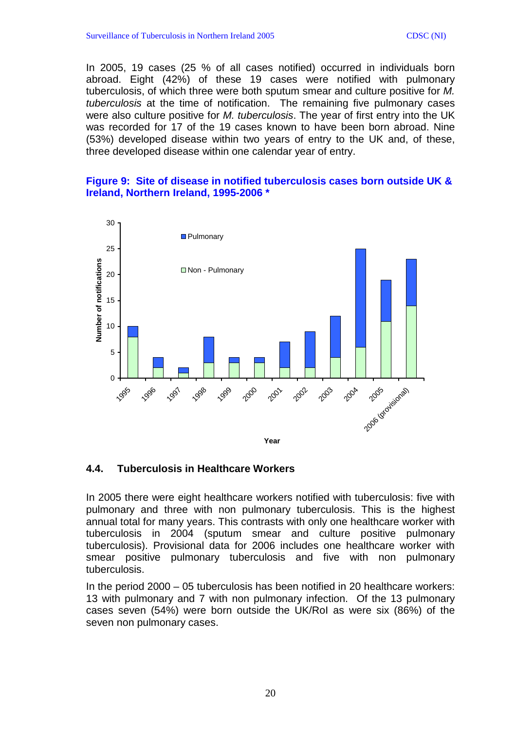In 2005, 19 cases (25 % of all cases notified) occurred in individuals born abroad. Eight (42%) of these 19 cases were notified with pulmonary tuberculosis, of which three were both sputum smear and culture positive for *M. tuberculosis* at the time of notification.The remaining five pulmonary cases were also culture positive for *M. tuberculosis*. The year of first entry into the UK was recorded for 17 of the 19 cases known to have been born abroad. Nine (53%) developed disease within two years of entry to the UK and, of these, three developed disease within one calendar year of entry.

#### **Figure 9: Site of disease in notified tuberculosis cases born outside UK & Ireland, Northern Ireland, 1995-2006 \***



#### **4.4. Tuberculosis in Healthcare Workers**

In 2005 there were eight healthcare workers notified with tuberculosis: five with pulmonary and three with non pulmonary tuberculosis. This is the highest annual total for many years. This contrasts with only one healthcare worker with tuberculosis in 2004 (sputum smear and culture positive pulmonary tuberculosis). Provisional data for 2006 includes one healthcare worker with smear positive pulmonary tuberculosis and five with non pulmonary tuberculosis.

In the period 2000 – 05 tuberculosis has been notified in 20 healthcare workers: 13 with pulmonary and 7 with non pulmonary infection. Of the 13 pulmonary cases seven (54%) were born outside the UK/RoI as were six (86%) of the seven non pulmonary cases.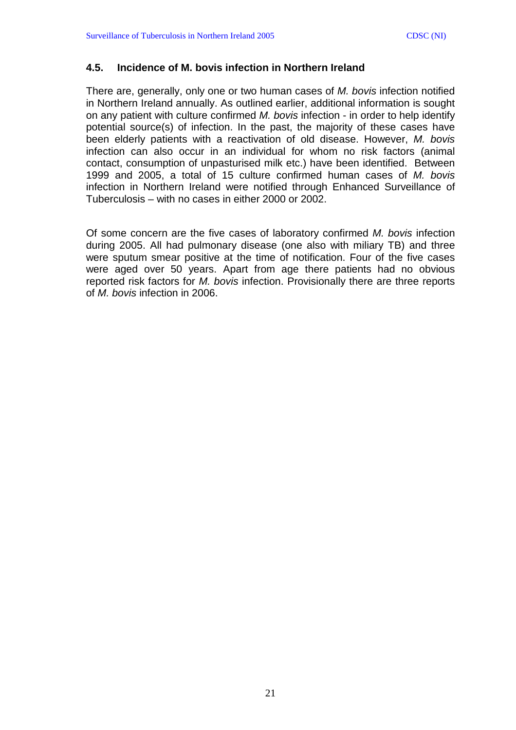#### **4.5. Incidence of M. bovis infection in Northern Ireland**

There are, generally, only one or two human cases of *M. bovis* infection notified in Northern Ireland annually. As outlined earlier, additional information is sought on any patient with culture confirmed *M. bovis* infection - in order to help identify potential source(s) of infection. In the past, the majority of these cases have been elderly patients with a reactivation of old disease. However, *M. bovis* infection can also occur in an individual for whom no risk factors (animal contact, consumption of unpasturised milk etc.) have been identified. Between 1999 and 2005, a total of 15 culture confirmed human cases of *M. bovis* infection in Northern Ireland were notified through Enhanced Surveillance of Tuberculosis – with no cases in either 2000 or 2002.

Of some concern are the five cases of laboratory confirmed *M. bovis* infection during 2005. All had pulmonary disease (one also with miliary TB) and three were sputum smear positive at the time of notification. Four of the five cases were aged over 50 years. Apart from age there patients had no obvious reported risk factors for *M. bovis* infection. Provisionally there are three reports of *M. bovis* infection in 2006.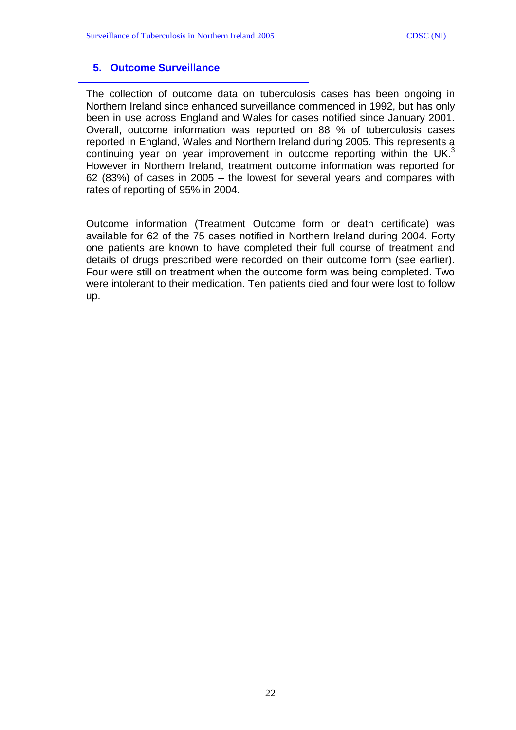#### **5. Outcome Surveillance**

The collection of outcome data on tuberculosis cases has been ongoing in Northern Ireland since enhanced surveillance commenced in 1992, but has only been in use across England and Wales for cases notified since January 2001. Overall, outcome information was reported on 88 % of tuberculosis cases reported in England, Wales and Northern Ireland during 2005. This represents a continuing year on year improvement in outcome reporting within the UK.<sup>3</sup> However in Northern Ireland, treatment outcome information was reported for 62 (83%) of cases in 2005 – the lowest for several years and compares with rates of reporting of 95% in 2004.

Outcome information (Treatment Outcome form or death certificate) was available for 62 of the 75 cases notified in Northern Ireland during 2004. Forty one patients are known to have completed their full course of treatment and details of drugs prescribed were recorded on their outcome form (see earlier). Four were still on treatment when the outcome form was being completed. Two were intolerant to their medication. Ten patients died and four were lost to follow up.